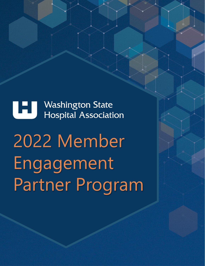**TELES Washington State Hospital Association** 

2022 Member Engagement Partner Program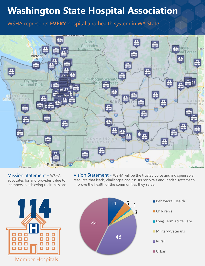# **Washington State Hospital Association**

WSHA represents **EVERY** hospital and health system in WA State.



Mission Statement - WSHA advocates for and provides value to members in achieving their missions. Vision Statement - WSHA will be the trusted voice and indispensable resource that leads, challenges and assists hospitals and health systems to improve the health of the communities they serve.



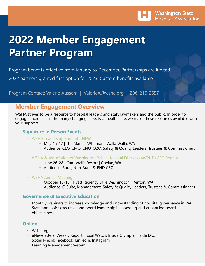

# **2022 Member Engagement Partner Program**

Program benefits effective from January to December. Partnerships are limited.

2022 partners granted first option for 2023. Custom benefits available.

Program Contact: Valerie Aussem | ValerieA@wsha.org | 206-216-2557

### **Member Engagement Overview**

WSHA strives to be a resource to hospital leaders and staff, lawmakers and the public. In order to engage audiences in the many changing aspects of health care, we make these resources available with your support.

### **Signature In Person Events**

- WSHA Leadership Summit NEW
	- May 15-17 | The Marcus Whitman | Walla Walla, WA
	- Audience: CEO, CMO, CNO, CQO, Safety & Quality Leaders, Trustees & Commissioners
- WSHA & Association of Washington Public Hospital Districts (AWPHD) CEO Retreat
	- June 26-28 | Campbell's Resort | Chelan, WA
	- Audience: Rural, Non-Rural & PHD CEOs
- WSHA Annual Meeting
	- October 16-18 | Hyatt Regency Lake Washington | Renton, WA
	- Audience: C-Suite, Management, Safety & Quality Leaders, Trustees & Commissioners

### **Governance & Executive Education**

• Monthly webinars to increase knowledge and understanding of hospital governance in WA State and assist executive and board leadership in assessing and enhancing board effectiveness.

### **Online**

- Wsha.org
- eNewsletters: Weekly Report, Fiscal Watch, Inside Olympia, Inside D.C.
- Social Media: Facebook, LinkedIn, Instagram
- Learning Management System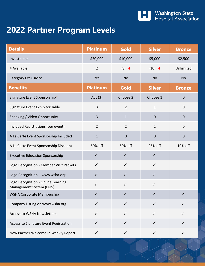

# **2022 Partner Program Levels**

| <b>Details</b>                                                | <b>Platinum</b> | Gold           | <b>Silver</b>  | <b>Bronze</b> |
|---------------------------------------------------------------|-----------------|----------------|----------------|---------------|
| Investment                                                    | \$20,000        | \$10,000       | \$5,000        | \$2,500       |
| # Available                                                   | $\overline{2}$  | 84             | $-10$ 4        | Unlimited     |
| Category Exclusivity                                          | Yes             | <b>No</b>      | <b>No</b>      | <b>No</b>     |
| <b>Benefits</b>                                               | <b>Platinum</b> | Gold           | <b>Silver</b>  | <b>Bronze</b> |
| Signature Event Sponsorship*                                  | ALL $(3)$       | Choose 2       | Choose 1       | $\mathbf 0$   |
| Signature Event Exhibitor Table                               | 3               | $\overline{2}$ | $\mathbf{1}$   | $\mathbf 0$   |
| Speaking / Video Opportunity                                  | $\overline{3}$  | $\mathbf{1}$   | $\pmb{0}$      | $\pmb{0}$     |
| Included Registrations (per event)                            | $\overline{2}$  | $\overline{2}$ | $\overline{2}$ | $\mathbf 0$   |
| A La Carte Event Sponsorship Included                         | $1\,$           | $\pmb{0}$      | $\pmb{0}$      | $\pmb{0}$     |
| A La Carte Event Sponsorship Discount                         | 50% off         | 50% off        | 25% off        | 10% off       |
| <b>Executive Education Sponsorship</b>                        | $\checkmark$    | $\checkmark$   | $\checkmark$   |               |
| Logo Recognition - Member Visit Packets                       | $\checkmark$    | $\checkmark$   | $\checkmark$   |               |
| Logo Recognition - www.wsha.org                               | $\checkmark$    | $\checkmark$   | $\checkmark$   |               |
| Logo Recognition - Online Learning<br>Management System (LMS) | $\checkmark$    | $\checkmark$   | $\checkmark$   |               |
| <b>WSHA Corporate Membership</b>                              | ✓               | ✓              | ✓              | $\checkmark$  |
| Company Listing on www.wsha.org                               | $\checkmark$    | $\checkmark$   | ✓              | ✓             |
| <b>Access to WSHA Newsletters</b>                             | $\checkmark$    | $\checkmark$   | $\checkmark$   | $\checkmark$  |
| Access to Signature Event Registration                        | $\checkmark$    | $\checkmark$   | $\checkmark$   | ✓             |
| New Partner Welcome in Weekly Report                          | $\checkmark$    | $\checkmark$   | ✓              | ✓             |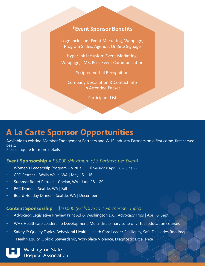### **\*Event Sponsor Benefits**

Logo Inclusion: Event Marketing, Webpage, Program Slides, Agenda, On-Site Signage

Hyperlink Inclusion: Event Marketing, Webpage, LMS, Post-Event Communication

Scripted Verbal Recognition

Company Description & Contact Info in Attendee Packet

Participant List

## **A La Carte Sponsor Opportunities**

Available to existing Member Engagement Partners and WHS Industry Partners on a first come, first served basis.

Please inquire for more details.

### **Event Sponsorship** = \$5,000 *(Maximum of 3 Partners per Event)*

- Women's Leadership Program Virtual | 10 Sessions: April 26 June 22
- CFO Retreat Walla Walla, WA | May 15 16
- Summer Board Retreat Chelan, WA | June 28 29
- PAC Dinner Seattle, WA | Fall
- Board Holiday Dinner Seattle, WA | December

### **Content Sponsorship** = \$10,000 *(Exclusive to 1 Partner per Topic)*

- Advocacy: Legislative Preview Print Ad & Washington D.C . Advocacy Trips | April & Sept
- WHS Healthcare Leadership Development: Multi-disciplinary suite of virtual education courses
- Safety & Quality Topics: Behavioral Health, Health Care Leader Resiliency, Safe Deliveries Roadmap, Health Equity, Opioid Stewardship, Workplace Violence, Diagnostic Excellence

**Washington State Hospital Association**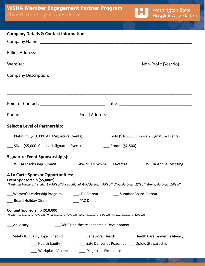## **WSHA Member Engagement Partner Program** 2022 Partnership Request Form

| <b>Company Details &amp; Contact Information</b>                                                                                                                                                                                 |  |  |
|----------------------------------------------------------------------------------------------------------------------------------------------------------------------------------------------------------------------------------|--|--|
|                                                                                                                                                                                                                                  |  |  |
|                                                                                                                                                                                                                                  |  |  |
|                                                                                                                                                                                                                                  |  |  |
| <b>Company Description:</b>                                                                                                                                                                                                      |  |  |
|                                                                                                                                                                                                                                  |  |  |
|                                                                                                                                                                                                                                  |  |  |
| <b>Select a Level of Partnership:</b>                                                                                                                                                                                            |  |  |
| ___ Platinum (\$20,000: All 3 Signature Events)<br>Gold (\$10,000: Choose 2 Signature Events)                                                                                                                                    |  |  |
| ___ Silver (\$5,000: Choose 1 Signature Event)<br>Bronze (\$2,500)                                                                                                                                                               |  |  |
| Signature Event Sponsorship(s):                                                                                                                                                                                                  |  |  |
| ___ WSHA Leadership Summit ___________ AWPHD & WSHA CEO Retreat ________WSHA Annual Meeting                                                                                                                                      |  |  |
| A La Carte Sponsor Opportunities:<br>Event Sponsorship (\$5,000*)<br>*Platinum Partners: Includes 1 + 50% off for additional; Gold Partners: 50% off; Silver Partners: 25% off, Bronze Partners: 10% off                         |  |  |
| ___Women's Leadership Program _________CFO Retreat ________________Summer Board Retreat                                                                                                                                          |  |  |
| ___ Board Holiday Dinner<br>____ PAC Dinner                                                                                                                                                                                      |  |  |
| Content Sponsorship (\$10,000)<br>*Platinum Partners: 50% off; Gold Partners: 50% off; Silver Partners: 25% off, Bronze Partners: 10% off                                                                                        |  |  |
| WHS Healthcare Leadership Development<br>Advocacy                                                                                                                                                                                |  |  |
| _Safety & Quality Topic (check 1):<br>___ Behavioral Health _________ Health Care Leader Resiliency<br>___ Safe Deliveries Roadmap ___ Opioid Stewardship<br>__ Health Equity<br>Workplace Violence<br>___ Diagnostic Excellence |  |  |